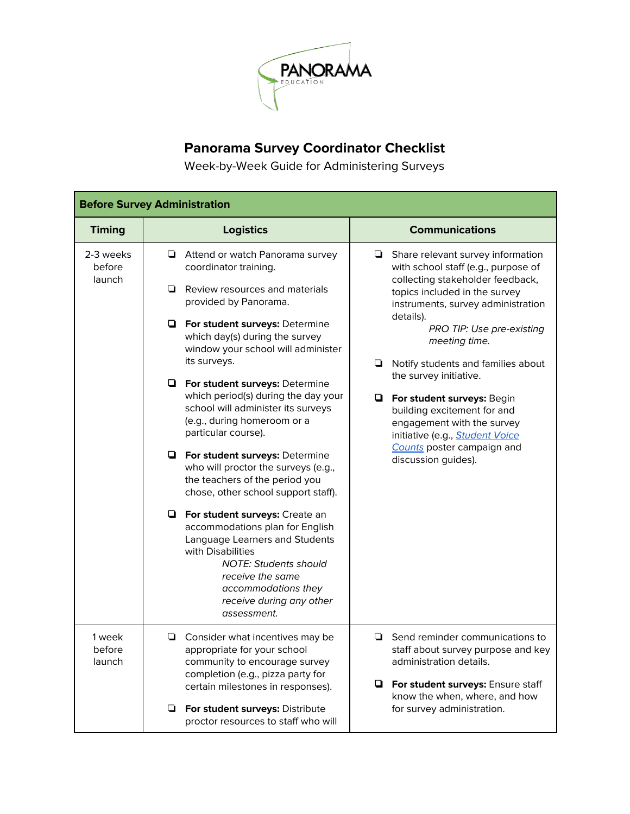

## **Panorama Survey Coordinator Checklist**

Week-by-Week Guide for Administering Surveys

| <b>Before Survey Administration</b> |                                                                                                                                                                                                                                                                                                                                                    |                                                                                                                                                                                                                                                                                                                                                                                                                                                                                                                        |  |  |
|-------------------------------------|----------------------------------------------------------------------------------------------------------------------------------------------------------------------------------------------------------------------------------------------------------------------------------------------------------------------------------------------------|------------------------------------------------------------------------------------------------------------------------------------------------------------------------------------------------------------------------------------------------------------------------------------------------------------------------------------------------------------------------------------------------------------------------------------------------------------------------------------------------------------------------|--|--|
| <b>Timing</b>                       | <b>Logistics</b>                                                                                                                                                                                                                                                                                                                                   | <b>Communications</b>                                                                                                                                                                                                                                                                                                                                                                                                                                                                                                  |  |  |
| 2-3 weeks<br>before<br>launch       | Attend or watch Panorama survey<br>❏<br>coordinator training.<br>Review resources and materials<br>▫<br>provided by Panorama.<br><b>D</b> For student surveys: Determine<br>which day(s) during the survey<br>window your school will administer<br>its surveys.<br><b>D</b> For student surveys: Determine<br>which period(s) during the day your | $\Box$ Share relevant survey information<br>with school staff (e.g., purpose of<br>collecting stakeholder feedback,<br>topics included in the survey<br>instruments, survey administration<br>details).<br>PRO TIP: Use pre-existing<br>meeting time.<br>$\Box$ Notify students and families about<br>the survey initiative.<br>For student surveys: Begin<br>building excitement for and<br>engagement with the survey<br>initiative (e.g., <b>Student Voice</b><br>Counts poster campaign and<br>discussion guides). |  |  |
|                                     | school will administer its surveys<br>(e.g., during homeroom or a<br>particular course).<br><b>D</b> For student surveys: Determine<br>who will proctor the surveys (e.g.,<br>the teachers of the period you<br>chose, other school support staff).                                                                                                |                                                                                                                                                                                                                                                                                                                                                                                                                                                                                                                        |  |  |
|                                     | <b>D</b> For student surveys: Create an<br>accommodations plan for English<br>Language Learners and Students<br>with Disabilities<br><b>NOTE: Students should</b><br>receive the same<br>accommodations they<br>receive during any other<br>assessment.                                                                                            |                                                                                                                                                                                                                                                                                                                                                                                                                                                                                                                        |  |  |
| 1 week<br>before<br>launch          | $\Box$ Consider what incentives may be<br>appropriate for your school<br>community to encourage survey<br>completion (e.g., pizza party for                                                                                                                                                                                                        | $\Box$ Send reminder communications to<br>staff about survey purpose and key<br>administration details.<br><b>D</b> For student surveys: Ensure staff<br>know the when, where, and how<br>for survey administration.                                                                                                                                                                                                                                                                                                   |  |  |
|                                     | certain milestones in responses).<br>❏<br>For student surveys: Distribute<br>proctor resources to staff who will                                                                                                                                                                                                                                   |                                                                                                                                                                                                                                                                                                                                                                                                                                                                                                                        |  |  |